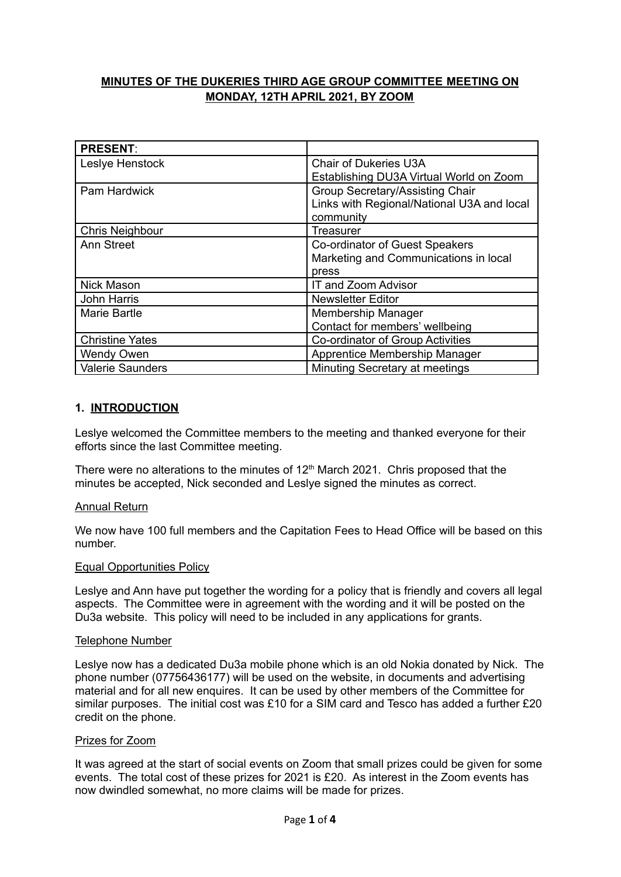# **MINUTES OF THE DUKERIES THIRD AGE GROUP COMMITTEE MEETING ON MONDAY, 12TH APRIL 2021, BY ZOOM**

| <b>PRESENT:</b>         |                                            |
|-------------------------|--------------------------------------------|
| Leslye Henstock         | <b>Chair of Dukeries U3A</b>               |
|                         | Establishing DU3A Virtual World on Zoom    |
| Pam Hardwick            | Group Secretary/Assisting Chair            |
|                         | Links with Regional/National U3A and local |
|                         | community                                  |
| <b>Chris Neighbour</b>  | Treasurer                                  |
| <b>Ann Street</b>       | Co-ordinator of Guest Speakers             |
|                         | Marketing and Communications in local      |
|                         | press                                      |
| <b>Nick Mason</b>       | IT and Zoom Advisor                        |
| John Harris             | <b>Newsletter Editor</b>                   |
| Marie Bartle            | <b>Membership Manager</b>                  |
|                         | Contact for members' wellbeing             |
| <b>Christine Yates</b>  | Co-ordinator of Group Activities           |
| <b>Wendy Owen</b>       | Apprentice Membership Manager              |
| <b>Valerie Saunders</b> | Minuting Secretary at meetings             |

### **1. INTRODUCTION**

Leslye welcomed the Committee members to the meeting and thanked everyone for their efforts since the last Committee meeting.

There were no alterations to the minutes of  $12<sup>th</sup>$  March 2021. Chris proposed that the minutes be accepted, Nick seconded and Leslye signed the minutes as correct.

### Annual Return

We now have 100 full members and the Capitation Fees to Head Office will be based on this number.

#### Equal Opportunities Policy

Leslye and Ann have put together the wording for a policy that is friendly and covers all legal aspects. The Committee were in agreement with the wording and it will be posted on the Du3a website. This policy will need to be included in any applications for grants.

#### Telephone Number

Leslye now has a dedicated Du3a mobile phone which is an old Nokia donated by Nick. The phone number (07756436177) will be used on the website, in documents and advertising material and for all new enquires. It can be used by other members of the Committee for similar purposes. The initial cost was £10 for a SIM card and Tesco has added a further £20 credit on the phone.

#### Prizes for Zoom

It was agreed at the start of social events on Zoom that small prizes could be given for some events. The total cost of these prizes for 2021 is £20. As interest in the Zoom events has now dwindled somewhat, no more claims will be made for prizes.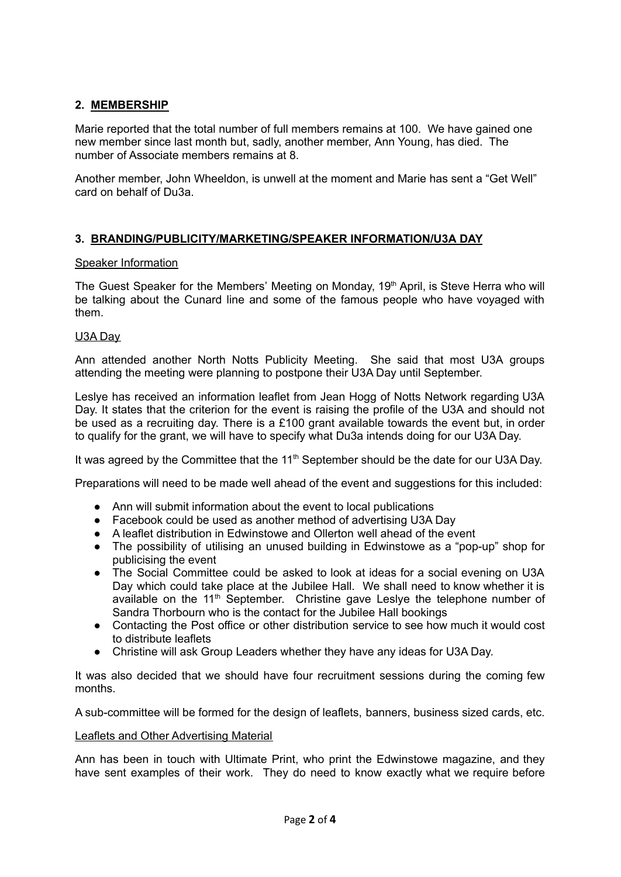# **2. MEMBERSHIP**

Marie reported that the total number of full members remains at 100. We have gained one new member since last month but, sadly, another member, Ann Young, has died. The number of Associate members remains at 8.

Another member, John Wheeldon, is unwell at the moment and Marie has sent a "Get Well" card on behalf of Du3a.

# **3. BRANDING/PUBLICITY/MARKETING/SPEAKER INFORMATION/U3A DAY**

### Speaker Information

The Guest Speaker for the Members' Meeting on Monday, 19<sup>th</sup> April, is Steve Herra who will be talking about the Cunard line and some of the famous people who have voyaged with them.

### U3A Day

Ann attended another North Notts Publicity Meeting. She said that most U3A groups attending the meeting were planning to postpone their U3A Day until September.

Leslye has received an information leaflet from Jean Hogg of Notts Network regarding U3A Day. It states that the criterion for the event is raising the profile of the U3A and should not be used as a recruiting day. There is a £100 grant available towards the event but, in order to qualify for the grant, we will have to specify what Du3a intends doing for our U3A Day.

It was agreed by the Committee that the 11<sup>th</sup> September should be the date for our U3A Day.

Preparations will need to be made well ahead of the event and suggestions for this included:

- Ann will submit information about the event to local publications
- Facebook could be used as another method of advertising U3A Day
- A leaflet distribution in Edwinstowe and Ollerton well ahead of the event
- The possibility of utilising an unused building in Edwinstowe as a "pop-up" shop for publicising the event
- The Social Committee could be asked to look at ideas for a social evening on U3A Day which could take place at the Jubilee Hall. We shall need to know whether it is available on the 11<sup>th</sup> September. Christine gave Leslye the telephone number of Sandra Thorbourn who is the contact for the Jubilee Hall bookings
- Contacting the Post office or other distribution service to see how much it would cost to distribute leaflets
- Christine will ask Group Leaders whether they have any ideas for U3A Day.

It was also decided that we should have four recruitment sessions during the coming few months.

A sub-committee will be formed for the design of leaflets, banners, business sized cards, etc.

### Leaflets and Other Advertising Material

Ann has been in touch with Ultimate Print, who print the Edwinstowe magazine, and they have sent examples of their work. They do need to know exactly what we require before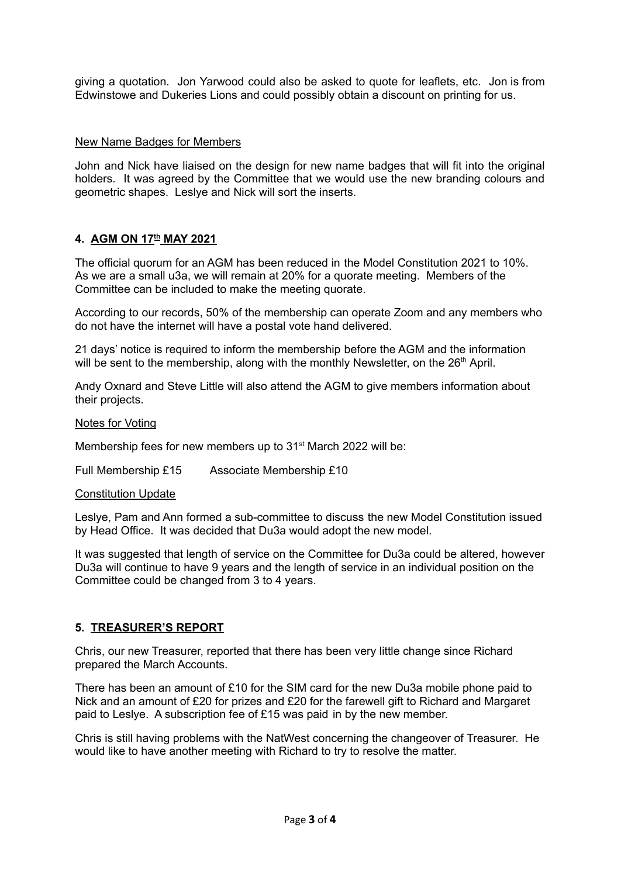giving a quotation. Jon Yarwood could also be asked to quote for leaflets, etc. Jon is from Edwinstowe and Dukeries Lions and could possibly obtain a discount on printing for us.

#### New Name Badges for Members

John and Nick have liaised on the design for new name badges that will fit into the original holders. It was agreed by the Committee that we would use the new branding colours and geometric shapes. Leslye and Nick will sort the inserts.

### **4. AGM ON 17 th MAY 2021**

The official quorum for an AGM has been reduced in the Model Constitution 2021 to 10%. As we are a small u3a, we will remain at 20% for a quorate meeting. Members of the Committee can be included to make the meeting quorate.

According to our records, 50% of the membership can operate Zoom and any members who do not have the internet will have a postal vote hand delivered.

21 days' notice is required to inform the membership before the AGM and the information will be sent to the membership, along with the monthly Newsletter, on the 26<sup>th</sup> April.

Andy Oxnard and Steve Little will also attend the AGM to give members information about their projects.

#### Notes for Voting

Membership fees for new members up to 31<sup>st</sup> March 2022 will be:

Full Membership £15 Associate Membership £10

#### Constitution Update

Leslye, Pam and Ann formed a sub-committee to discuss the new Model Constitution issued by Head Office. It was decided that Du3a would adopt the new model.

It was suggested that length of service on the Committee for Du3a could be altered, however Du3a will continue to have 9 years and the length of service in an individual position on the Committee could be changed from 3 to 4 years.

### **5. TREASURER'S REPORT**

Chris, our new Treasurer, reported that there has been very little change since Richard prepared the March Accounts.

There has been an amount of £10 for the SIM card for the new Du3a mobile phone paid to Nick and an amount of £20 for prizes and £20 for the farewell gift to Richard and Margaret paid to Leslye. A subscription fee of £15 was paid in by the new member.

Chris is still having problems with the NatWest concerning the changeover of Treasurer. He would like to have another meeting with Richard to try to resolve the matter.